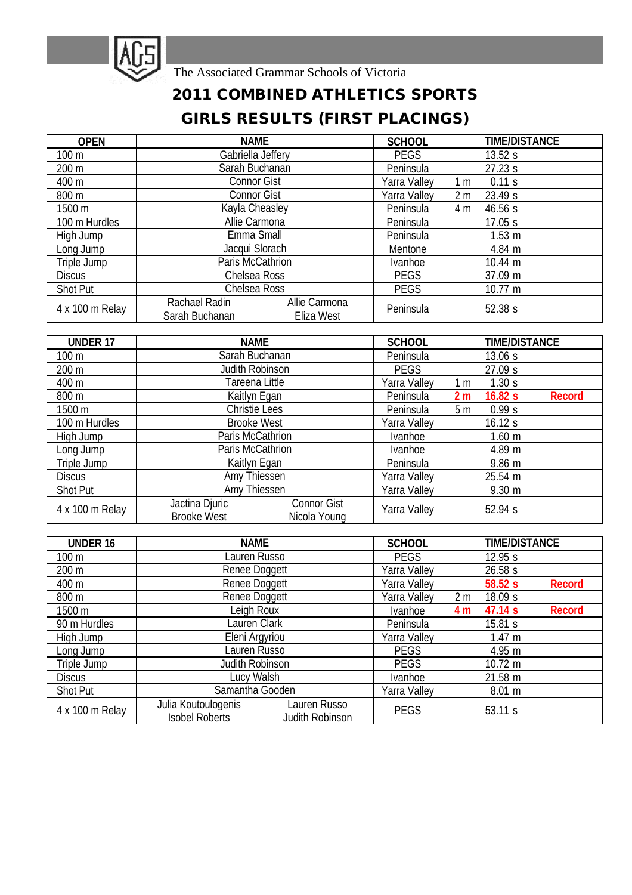

The Associated Grammar Schools of Victoria

## **2011 COMBINED ATHLETICS SPORTS GIRLS RESULTS (FIRST PLACINGS)**

| <b>OPEN</b>     | <b>NAME</b>                                                    | <b>SCHOOL</b>    |                           | <b>TIME/DISTANCE</b> |
|-----------------|----------------------------------------------------------------|------------------|---------------------------|----------------------|
| 100 m           | Gabriella Jeffery                                              | <b>PEGS</b>      | 13.52 s                   |                      |
| 200 m           | Sarah Buchanan                                                 | Peninsula        | 27.23 s                   |                      |
| 400 m           | <b>Connor Gist</b>                                             | Yarra Valley     | 0.11 s<br>1 <sub>m</sub>  |                      |
| 800 m           | <b>Connor Gist</b>                                             | Yarra Valley     | 23.49 s<br>2 <sub>m</sub> |                      |
| 1500 m          | Kayla Cheasley                                                 | Peninsula<br>4 m |                           | 46.56 s              |
| 100 m Hurdles   | Allie Carmona                                                  | Peninsula        |                           | 17.05 s              |
| High Jump       | Emma Small                                                     | Peninsula        |                           | 1.53 <sub>m</sub>    |
| Long Jump       | Jacqui Slorach                                                 | Mentone          |                           | 4.84 m               |
| Triple Jump     | Paris McCathrion                                               | Ivanhoe          |                           | 10.44 m              |
| <b>Discus</b>   | Chelsea Ross                                                   | <b>PEGS</b>      |                           | 37.09 m              |
| Shot Put        | Chelsea Ross                                                   | <b>PEGS</b>      |                           | 10.77 m              |
| 4 x 100 m Relay | Rachael Radin<br>Allie Carmona<br>Sarah Buchanan<br>Eliza West | Peninsula        |                           | 52.38s               |

| UNDER 17        | <b>NAME</b>                                                         | <b>SCHOOL</b> | <b>TIME/DISTANCE</b>               |  |
|-----------------|---------------------------------------------------------------------|---------------|------------------------------------|--|
| $100 \text{ m}$ | Sarah Buchanan                                                      | Peninsula     | 13.06 s                            |  |
| 200 m           | Judith Robinson                                                     | <b>PEGS</b>   | 27.09 s                            |  |
| 400 m           | Tareena Little                                                      | Yarra Valley  | 1.30 s<br>1 <sub>m</sub>           |  |
| 800 m           | Kaitlyn Egan                                                        | Peninsula     | 2 <sub>m</sub><br>16.82s<br>Record |  |
| 1500 m          | Christie Lees                                                       | Peninsula     | 5 <sub>m</sub><br>0.99 s           |  |
| 100 m Hurdles   | <b>Brooke West</b>                                                  | Yarra Valley  | 16.12 s                            |  |
| High Jump       | Paris McCathrion                                                    | Ivanhoe       | $1.60$ m                           |  |
| Long Jump       | Paris McCathrion                                                    | Ivanhoe       | 4.89 m                             |  |
| Triple Jump     | Kaitlyn Egan                                                        | Peninsula     | 9.86 m                             |  |
| <b>Discus</b>   | Amy Thiessen                                                        | Yarra Valley  | 25.54 m                            |  |
| Shot Put        | Amy Thiessen                                                        | Yarra Valley  | $9.30 \text{ m}$                   |  |
| 4 x 100 m Relay | Jactina Djuric<br>Connor Gist<br><b>Brooke West</b><br>Nicola Young | Yarra Valley  | 52.94 s                            |  |

| <b>UNDER 16</b>  | <b>NAME</b>                                                                     | <b>SCHOOL</b> | <b>TIME/DISTANCE</b>      |  |
|------------------|---------------------------------------------------------------------------------|---------------|---------------------------|--|
| 100 <sub>m</sub> | Lauren Russo                                                                    | <b>PEGS</b>   | 12.95 s                   |  |
| 200 m            | Renee Doggett                                                                   | Yarra Valley  | 26.58 s                   |  |
| 400 m            | Renee Doggett                                                                   | Yarra Valley  | 58.52s<br>Record          |  |
| 800 m            | Renee Doggett                                                                   | Yarra Valley  | 18.09 s<br>2 <sub>m</sub> |  |
| 1500 m           | Leigh Roux                                                                      | Ivanhoe       | 47.14 s<br>Record<br>4 m  |  |
| 90 m Hurdles     | Lauren Clark                                                                    | Peninsula     | 15.81 s                   |  |
| High Jump        | Eleni Argyriou                                                                  | Yarra Valley  | 1.47 m                    |  |
| Long Jump        | Lauren Russo                                                                    | <b>PEGS</b>   | 4.95 m                    |  |
| Triple Jump      | Judith Robinson                                                                 | <b>PEGS</b>   | $10.72 \text{ m}$         |  |
| <b>Discus</b>    | Lucy Walsh                                                                      | Ivanhoe       | 21.58 m                   |  |
| Shot Put         | Samantha Gooden                                                                 | Yarra Valley  | 8.01 m                    |  |
| 4 x 100 m Relay  | Julia Koutoulogenis<br>Lauren Russo<br><b>Isobel Roberts</b><br>Judith Robinson | <b>PEGS</b>   | 53.11 s                   |  |